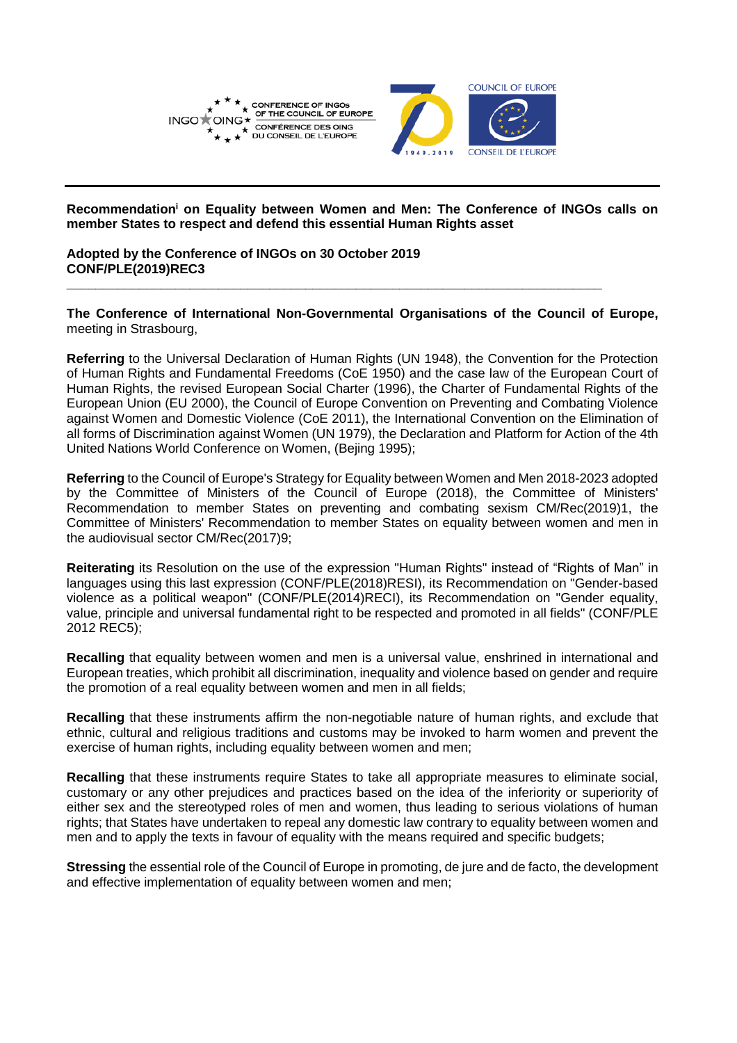

**Recommendation<sup>i</sup> on Equality between Women and Men: The Conference of INGOs calls on member States to respect and defend this essential Human Rights asset**

**Adopted by the Conference of INGOs on 30 October 2019 CONF/PLE(2019)REC3**

**The Conference of International Non-Governmental Organisations of the Council of Europe,** meeting in Strasbourg,

**\_\_\_\_\_\_\_\_\_\_\_\_\_\_\_\_\_\_\_\_\_\_\_\_\_\_\_\_\_\_\_\_\_\_\_\_\_\_\_\_\_\_\_\_\_\_\_\_\_\_\_\_\_\_\_\_\_\_\_\_\_\_\_\_\_\_\_\_\_\_\_\_\_\_**

**Referring** to the Universal Declaration of Human Rights (UN 1948), the Convention for the Protection of Human Rights and Fundamental Freedoms (CoE 1950) and the case law of the European Court of Human Rights, the revised European Social Charter (1996), the Charter of Fundamental Rights of the European Union (EU 2000), the Council of Europe Convention on Preventing and Combating Violence against Women and Domestic Violence (CoE 2011), the International Convention on the Elimination of all forms of Discrimination against Women (UN 1979), the Declaration and Platform for Action of the 4th United Nations World Conference on Women, (Bejing 1995);

**Referring** to the Council of Europe's Strategy for Equality between Women and Men 2018-2023 adopted by the Committee of Ministers of the Council of Europe (2018), the Committee of Ministers' Recommendation to member States on preventing and combating sexism CM/Rec(2019)1, the Committee of Ministers' Recommendation to member States on equality between women and men in the audiovisual sector CM/Rec(2017)9;

**Reiterating** its Resolution on the use of the expression "Human Rights" instead of "Rights of Man" in languages using this last expression (CONF/PLE(2018)RESI), its Recommendation on "Gender-based violence as a political weapon" (CONF/PLE(2014)RECI), its Recommendation on "Gender equality, value, principle and universal fundamental right to be respected and promoted in all fields" (CONF/PLE 2012 REC5);

**Recalling** that equality between women and men is a universal value, enshrined in international and European treaties, which prohibit all discrimination, inequality and violence based on gender and require the promotion of a real equality between women and men in all fields;

**Recalling** that these instruments affirm the non-negotiable nature of human rights, and exclude that ethnic, cultural and religious traditions and customs may be invoked to harm women and prevent the exercise of human rights, including equality between women and men;

**Recalling** that these instruments require States to take all appropriate measures to eliminate social, customary or any other prejudices and practices based on the idea of the inferiority or superiority of either sex and the stereotyped roles of men and women, thus leading to serious violations of human rights; that States have undertaken to repeal any domestic law contrary to equality between women and men and to apply the texts in favour of equality with the means required and specific budgets;

**Stressing** the essential role of the Council of Europe in promoting, de jure and de facto, the development and effective implementation of equality between women and men;